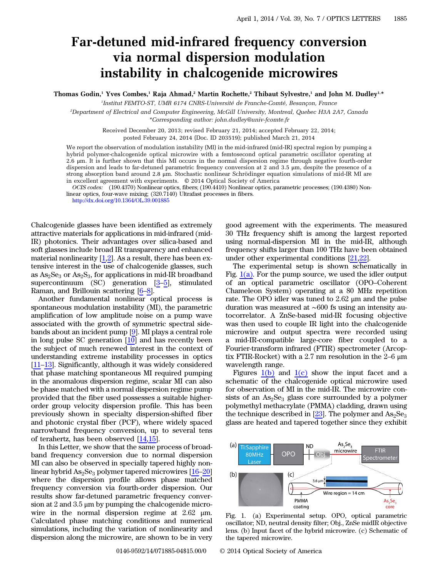## Far-detuned mid-infrared frequency conversion via normal dispersion modulation instability in chalcogenide microwires

Thomas Godin,<sup>1</sup> Yves Combes,<sup>1</sup> Raja Ahmad,<sup>2</sup> Martin Rochette,<sup>2</sup> Thibaut Sylvestre,<sup>1</sup> and John M. Dudley<sup>1,\*</sup>

1 Institut FEMTO-ST, UMR 6174 CNRS-Université de Franche-Comté, Besançon, France

2 Department of Electrical and Computer Engineering, McGill University, Montreal, Quebec H3A 2A7, Canada \*Corresponding author: john.dudley@univ‑fcomte.fr

> Received December 20, 2013; revised February 21, 2014; accepted February 22, 2014; posted February 24, 2014 (Doc. ID 203519); published March 21, 2014

We report the observation of modulation instability (MI) in the mid-infrared (mid-IR) spectral region by pumping a hybrid polymer-chalcogenide optical microwire with a femtosecond optical parametric oscillator operating at 2.6 μm. It is further shown that this MI occurs in the normal dispersion regime through negative fourth-order dispersion and leads to far-detuned parametric frequency conversion at 2 and 3.5 μm, despite the presence of a strong absorption band around 2.8 μm. Stochastic nonlinear Schrödinger equation simulations of mid-IR MI are in excellent agreement with experiments. © 2014 Optical Society of America

OCIS codes: (190.4370) Nonlinear optics, fibers; (190.4410) Nonlinear optics, parametric processes; (190.4380) Nonlinear optics, four-wave mixing; (320.7140) Ultrafast processes in fibers.

<http://dx.doi.org/10.1364/OL.39.001885>

Chalcogenide glasses have been identified as extremely attractive materials for applications in mid-infrared (mid-IR) photonics. Their advantages over silica-based and soft glasses include broad IR transparency and enhanced material nonlinearity  $[1,2]$  $[1,2]$  $[1,2]$ . As a result, there has been extensive interest in the use of chalcogenide glasses, such as  $As_2Se_3$  or  $As_2S_3$ , for applications in mid-IR broadband supercontinuum (SC) generation  $[3-5]$  $[3-5]$  $[3-5]$  $[3-5]$ , stimulated Raman, and Brillouin scattering [\[6](#page-3-4)–[8](#page-3-5)].

Another fundamental nonlinear optical process is spontaneous modulation instability (MI), the parametric amplification of low amplitude noise on a pump wave associated with the growth of symmetric spectral sidebands about an incident pump [[9\]](#page-3-6). MI plays a central role in long pulse SC generation [[10\]](#page-3-7) and has recently been the subject of much renewed interest in the context of understanding extreme instability processes in optics [\[11](#page-3-8)–[13](#page-3-9)]. Significantly, although it was widely considered that phase matching spontaneous MI required pumping in the anomalous dispersion regime, scalar MI can also be phase matched with a normal dispersion regime pump provided that the fiber used possesses a suitable higherorder group velocity dispersion profile. This has been previously shown in specialty dispersion-shifted fiber and photonic crystal fiber (PCF), where widely spaced narrowband frequency conversion, up to several tens of terahertz, has been observed  $[14,15]$  $[14,15]$  $[14,15]$  $[14,15]$ .

In this Letter, we show that the same process of broadband frequency conversion due to normal dispersion MI can also be observed in specially tapered highly nonlinear hybrid  $As_2Se_3$  polymer tapered microwires  $[16–20]$  $[16–20]$  $[16–20]$  $[16–20]$ where the dispersion profile allows phase matched frequency conversion via fourth-order dispersion. Our results show far-detuned parametric frequency conversion at 2 and 3.5  $\mu$ m by pumping the chalcogenide microwire in the normal dispersion regime at 2.62 μm. Calculated phase matching conditions and numerical simulations, including the variation of nonlinearity and dispersion along the microwire, are shown to be in very

good agreement with the experiments. The measured 30 THz frequency shift is among the largest reported using normal-dispersion MI in the mid-IR, although frequency shifts larger than 100 THz have been obtained under other experimental conditions [[21](#page-3-14)[,22](#page-3-15)].

The experimental setup is shown schematically in Fig.  $1(a)$ . For the pump source, we used the idler output of an optical parametric oscillator (OPO–Coherent Chameleon System) operating at a 80 MHz repetition rate. The OPO idler was tuned to 2.62 μm and the pulse duration was measured at ∼600 fs using an intensity autocorrelator. A ZnSe-based mid-IR focusing objective was then used to couple IR light into the chalcogenide microwire and output spectra were recorded using a mid-IR-compatible large-core fiber coupled to a Fourier-transform infrared (FTIR) spectrometer (Arcoptix FTIR-Rocket) with a 2.7 nm resolution in the 2–<sup>6</sup> <sup>μ</sup><sup>m</sup> wavelength range.

Figures  $1(b)$  and  $1(c)$  show the input facet and a schematic of the chalcogenide optical microwire used for observation of MI in the mid-IR. The microwire consists of an  $As<sub>2</sub>Se<sub>3</sub>$  glass core surrounded by a polymer polymethyl methacrylate (PMMA) cladding, drawn using the technique described in  $[23]$  $[23]$ . The polymer and  $\text{As}_2\text{Se}_3$ glass are heated and tapered together since they exhibit

<span id="page-0-0"></span>

Fig. 1. (a) Experimental setup. OPO, optical parametric oscillator; ND, neutral density filter; Obj., ZnSe midIR objective lens. (b) Input facet of the hybrid microwire. (c) Schematic of the tapered microwire.

0146-9592/14/071885-04\$15.00/0 © 2014 Optical Society of America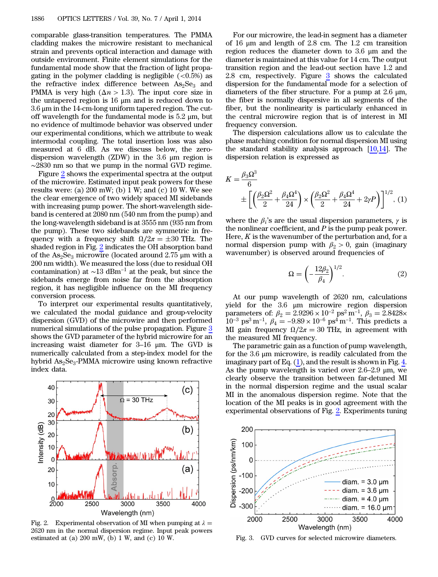comparable glass-transition temperatures. The PMMA cladding makes the microwire resistant to mechanical strain and prevents optical interaction and damage with outside environment. Finite element simulations for the fundamental mode show that the fraction of light propagating in the polymer cladding is negligible  $(<0.5\%)$  as the refractive index difference between  $\text{As}_2\text{Se}_3$  and PMMA is very high ( $\Delta n > 1.3$ ). The input core size in the untapered region is 16 μm and is reduced down to 3.6 μm in the 14-cm-long uniform tapered region. The cutoff wavelength for the fundamental mode is  $5.2 \mu m$ , but no evidence of multimode behavior was observed under our experimental conditions, which we attribute to weak intermodal coupling. The total insertion loss was also measured at 6 dB. As we discuss below, the zerodispersion wavelength (ZDW) in the 3.6 μm region is ∼2830 nm so that we pump in the normal GVD regime.

Figure [2](#page-1-0) shows the experimental spectra at the output of the microwire. Estimated input peak powers for these results were: (a)  $200 \text{ mW}$ ; (b) 1 W; and (c) 10 W. We see the clear emergence of two widely spaced MI sidebands with increasing pump power. The short-wavelength sideband is centered at 2080 nm (540 nm from the pump) and the long-wavelength sideband is at 3555 nm (935 nm from the pump). These two sidebands are symmetric in frequency with a frequency shift  $\Omega/2\pi = \pm 30$  THz. The shaded region in Fig. [2](#page-1-0) indicates the OH absorption band of the  $\text{As}_2\text{Se}_3$  microwire (located around 2.75 µm with a 200 nm width). We measured the loss (due to residual OH contamination) at  $\sim$ 13 dBm<sup>-1</sup> at the peak, but since the sidebands emerge from noise far from the absorption region, it has negligible influence on the MI frequency conversion process.

To interpret our experimental results quantitatively, we calculated the modal guidance and group-velocity dispersion (GVD) of the microwire and then performed numerical simulations of the pulse propagation. Figure [3](#page-1-1) shows the GVD parameter of the hybrid microwire for an increasing waist diameter for 3–<sup>16</sup> <sup>μ</sup>m. The GVD is numerically calculated from a step-index model for the hybrid  $\text{As}_2\text{Se}_3$ -PMMA microwire using known refractive index data.

<span id="page-1-0"></span>

Fig. 2. Experimental observation of MI when pumping at  $\lambda =$ 2620 nm in the normal dispersion regime. Input peak powers estimated at (a) 200 mW, (b) 1 W, and (c) 10 W. Fig. 3. GVD curves for selected microwire diameters.

For our microwire, the lead-in segment has a diameter of 16 μm and length of 2.8 cm. The 1.2 cm transition region reduces the diameter down to 3.6 μm and the diameter is maintained at this value for 14 cm. The output transition region and the lead-out section have 1.2 and 2.8 cm, respectively. Figure [3](#page-1-1) shows the calculated dispersion for the fundamental mode for a selection of diameters of the fiber structure. For a pump at 2.6 μm, the fiber is normally dispersive in all segments of the fiber, but the nonlinearity is particularly enhanced in the central microwire region that is of interest in MI frequency conversion.

The dispersion calculations allow us to calculate the phase matching condition for normal dispersion MI using the standard stability analysis approach [\[10](#page-3-7),[14\]](#page-3-10). The dispersion relation is expressed as

<span id="page-1-2"></span>
$$
K = \frac{\beta_3 \Omega^3}{6} \n\pm \left[ \left( \frac{\beta_2 \Omega^2}{2} + \frac{\beta_4 \Omega^4}{24} \right) \times \left( \frac{\beta_2 \Omega^2}{2} + \frac{\beta_4 \Omega^4}{24} + 2\gamma P \right) \right]^{1/2}, (1)
$$

where the  $\beta_i$ 's are the usual dispersion parameters,  $\gamma$  is the nonlinear coefficient, and  $P$  is the pump peak power. Here,  $K$  is the wavenumber of the perturbation and, for a normal dispersion pump with  $\beta_2 > 0$ , gain (imaginary wavenumber) is observed around frequencies of

$$
\Omega = \left(-\frac{12\beta_2}{\beta_4}\right)^{1/2}.\tag{2}
$$

At our pump wavelength of 2620 nm, calculations yield for the 3.6 μm microwire region dispersion At our pump wavelength of 2620 nm, calculations<br>yield for the 3.6 µm microwire region dispersion<br>parameters of:  $\beta_2 = 2.9296 \times 10^{-2} \text{ ps}^2 \text{ m}^{-1}$ ,  $\beta_3 = 2.8428 \times 10^{-3} \text{ ps}^3 \text{ m}^{-1}$ ,  $\beta_4 = -9.89 \times 10^{-6} \text{ ps}^4 \text{ m}$ MI gain frequency  $\Omega/2\pi = 30$  THz, in agreement with the measured MI frequency.

The parametric gain as a function of pump wavelength, for the 3.6 μm microwire, is readily calculated from the imaginary part of Eq.  $(1)$  $(1)$ , and the result is shown in Fig. [4.](#page-2-0) As the pump wavelength is varied over  $2.6-2.9$  µm, we clearly observe the transition between far-detuned MI in the normal dispersion regime and the usual scalar MI in the anomalous dispersion regime. Note that the location of the MI peaks is in good agreement with the experimental observations of Fig. [2.](#page-1-0) Experiments tuning

<span id="page-1-1"></span>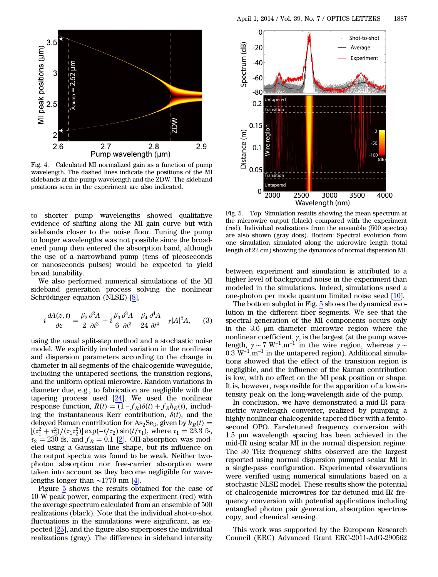<span id="page-2-0"></span>

Fig. 4. Calculated MI normalized gain as a function of pump wavelength. The dashed lines indicate the positions of the MI sidebands at the pump wavelength and the ZDW. The sideband positions seen in the experiment are also indicated.

to shorter pump wavelengths showed qualitative evidence of shifting along the MI gain curve but with sidebands closer to the noise floor. Tuning the pump to longer wavelengths was not possible since the broadened pump then entered the absorption band, although the use of a narrowband pump (tens of picoseconds or nanoseconds pulses) would be expected to yield broad tunability.

We also performed numerical simulations of the MI sideband generation process solving the nonlinear<br>Schrödinger equation (NLSE) [<u>8]</u>,<br> $i \frac{\partial A(z,t)}{\partial z} = \frac{\beta_2}{2} \frac{\partial^2 A}{\partial t^2} + i \frac{\beta_3}{6} \frac{\partial^3 A}{\partial t^3} - \frac{\beta_4}{24} \frac{\partial^4 A}{\partial t^4} - \gamma |A|^2 A$ , (3) Schrödinger equation (NLSE) [\[8](#page-3-5)],

$$
i\frac{\partial A(z,t)}{\partial z} = \frac{\beta_2}{2}\frac{\partial^2 A}{\partial t^2} + i\frac{\beta_3}{6}\frac{\partial^3 A}{\partial t^3} - \frac{\beta_4}{24}\frac{\partial^4 A}{\partial t^4} - \gamma |A|^2 A,\tag{3}
$$

using the usual split-step method and a stochastic noise model. We explicitly included variation in the nonlinear and dispersion parameters according to the change in diameter in all segments of the chalcogenide waveguide, including the untapered sections, the transition regions, and the uniform optical microwire. Random variations in diameter due, e.g., to fabrication are negligible with the tapering process used  $[24]$  $[24]$ . We used the nonlinear and the uniform optical microwire. Random variations in<br>diameter due, e.g., to fabrication are negligible with the<br>tapering process used  $[24]$ . We used the nonlinear<br>response function,  $R(t) = (1 - f_R)\delta(t) + f_R h_R(t)$ , including the instantaneous Kerr contribution,  $\delta(t)$ , and the delayed Raman contribution for  $\text{As}_2\text{Se}_3$ , given by  $h_R(t) =$ Tresponse function,  $R(t) = (1 - f_R)\delta(t) + f_R h_R(t)$ , including the instantaneous Kerr contribution,  $\delta(t)$ , and the delayed Raman contribution for As<sub>2</sub>Se<sub>3</sub>, given by  $h_R(t) = [(r_1^2 + r_2^2)/(\tau_1 \tau_2^2)] \exp(-t/\tau_2) \sin(t/\tau_1)$ , where  $\tau_1$  $\tau_2 = 230$  fs, and  $f_R = 0.1$  [\[2](#page-3-1)]. OH-absorption was modeled using a Gaussian line shape, but its influence on the output spectra was found to be weak. Neither twophoton absorption nor free-carrier absorption were taken into account as they become negligible for wavelengths longer than ∼1770 nm [\[4](#page-3-18)].

Figure [5](#page-2-1) shows the results obtained for the case of 10 W peak power, comparing the experiment (red) with the average spectrum calculated from an ensemble of 500 realizations (black). Note that the individual shot-to-shot fluctuations in the simulations were significant, as expected [[25\]](#page-3-19), and the figure also superposes the individual realizations (gray). The difference in sideband intensity

<span id="page-2-1"></span>

Fig. 5. Top: Simulation results showing the mean spectrum at the microwire output (black) compared with the experiment (red). Individual realizations from the ensemble (500 spectra) are also shown (gray dots). Bottom: Spectral evolution from one simulation simulated along the microwire length (total length of 22 cm) showing the dynamics of normal dispersion MI.

between experiment and simulation is attributed to a higher level of background noise in the experiment than modeled in the simulations. Indeed, simulations used a one-photon per mode quantum limited noise seed [\[10](#page-3-7)].

The bottom subplot in Fig.  $5$  shows the dynamical evolution in the different fiber segments. We see that the spectral generation of the MI components occurs only in the 3.6 μm diameter microwire region where the nonlinear coefficient,  $\gamma$ , is the largest (at the pump wavelength,  $\gamma \sim 7 \text{ W}^{-1} \cdot \text{m}^{-1}$  in the wire region where the nonlinear coefficient,  $\gamma$ , is the largest (at the pump wavelength,  $\gamma \sim 7 \text{ W}^{-1} \cdot \text{m}^{-1}$  in the wire region, whereas  $\gamma \sim$ nonlinear coefficient,  $\gamma$ , is the largest (at the pump wavelength,  $\gamma \sim 7 \text{ W}^{-1} \text{.m}^{-1}$  in the wire region, whereas  $\gamma \sim 0.3 \text{ W}^{-1} \text{.m}^{-1}$  in the untapered region). Additional simulations showed that the effect of the transition region is negligible, and the influence of the Raman contribution is low, with no effect on the MI peak position or shape. It is, however, responsible for the apparition of a low-intensity peak on the long-wavelength side of the pump.

In conclusion, we have demonstrated a mid-IR parametric wavelength converter, realized by pumping a highly nonlinear chalcogenide tapered fiber with a femtosecond OPO. Far-detuned frequency conversion with 1.5 μm wavelength spacing has been achieved in the mid-IR using scalar MI in the normal dispersion regime. The 30 THz frequency shifts observed are the largest reported using normal dispersion pumped scalar MI in a single-pass configuration. Experimental observations were verified using numerical simulations based on a stochastic NLSE model. These results show the potential of chalcogenide microwires for far-detuned mid-IR frequency conversion with potential applications including entangled photon pair generation, absorption spectroscopy, and chemical sensing.

This work was supported by the European Research Council (ERC) Advanced Grant ERC-2011-AdG-290562